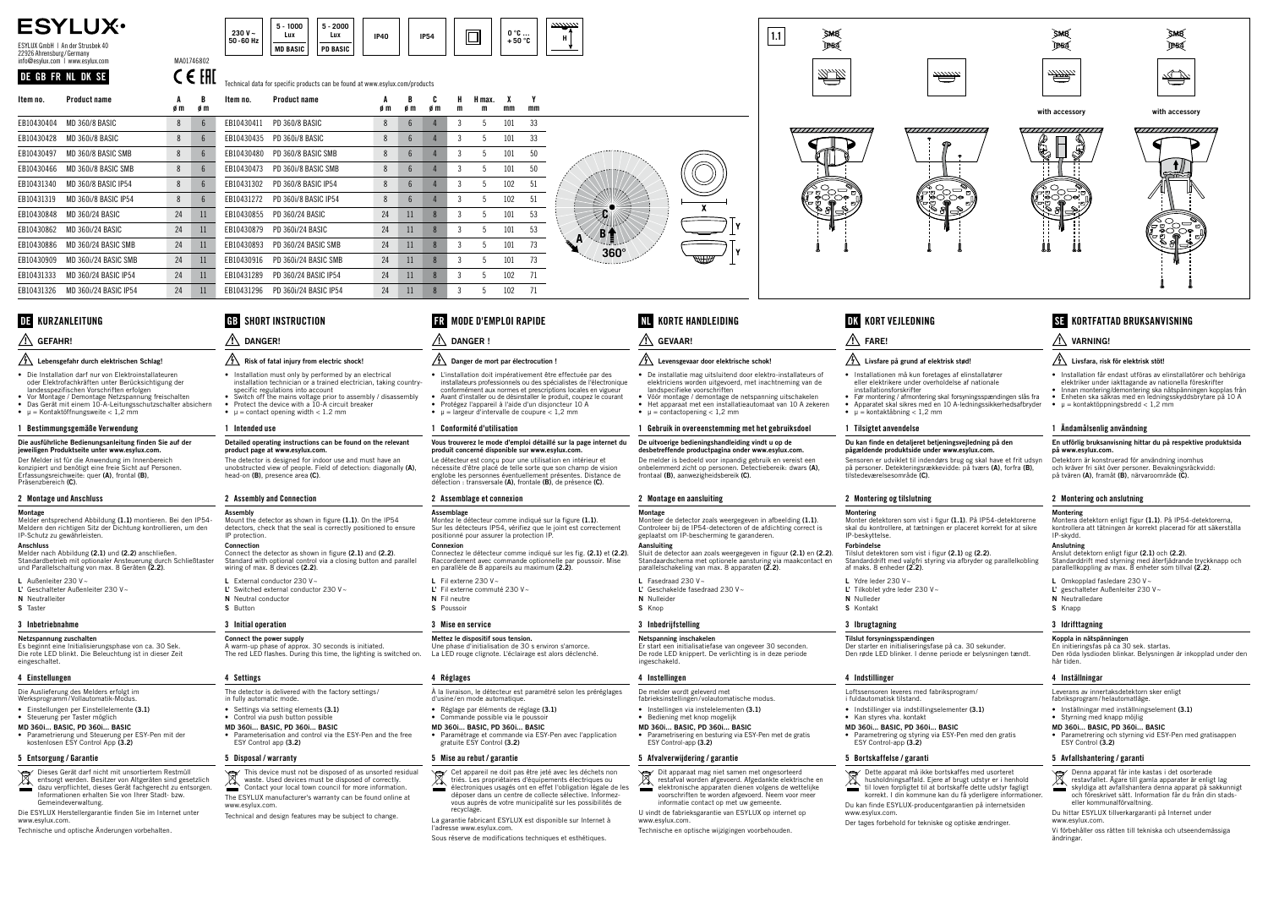### CE FHI Technical data for specific products can be found at www.esylux.com/products

- Die Installation darf nur von Elektroinstallateuren oder Elektrofachkräften unter Berücksichtigung der landesspezifischen Vorschriften erfolgen
- Vor Montage / Demontage Netzspannung freischalten • Das Gerät mit einem 10-A-Leitungsschutzschalter absichern
- $\mu$  = Kontaktöffnungsweite < 1,2 mm

### 1 Bestimmungsgemäße Verwendung

### Die ausführliche Bedienungsanleitung finden Sie auf der

- L Außenleiter 230 V~
- L' Geschalteter Außenleiter 230 V~ N Neutralleiter
- S Taster

jeweiligen Produktseite unter www.esylux.com. Der Melder ist für die Anwendung im Innenbereich

konzipiert und benötigt eine freie Sicht auf Personen.<br>Erfassungsreichweite: quer **(A)**, frontal **(B)**, Präsenzbereich (C).

### 2 Montage und Anschluss

### **Montage**

Melder entsprechend Abbildung (1.1) montieren. Bei den IP54- Meldern den richtigen Sitz der Dichtung kontrollieren, um den IP-Schutz zu gewährleisten.

### Anschluss

- Installation must only by performed by an electrical installation technician or a trained electrician, taking countryspecific regulations into account
- Switch off the mains voltage prior to assembly / disassembly Protect the device with a 10-A circuit breaker
- $μ = contact opening width < 1.2 mm$

Melder nach Abbildung (2.1) und (2.2) anschließen. Standardbetrieb mit optionaler Ansteuerung durch Schließtaster und Parallelschaltung von max. 8 Geräten (2.2).

## 3 Inbetriebnahme

### Netzspannung zuschalten

Es beginnt eine Initialisierungsphase von ca. 30 Sek. Die rote LED blinkt. Die Beleuchtung ist in dieser Zeit eingeschaltet.

### 4 Einstellungen

Die Auslieferung des Melders erfolgt im

- Werksprogramm/Vollautomatik-Modus. • Einstellungen per Einstellelemente (3.1)
- Steuerung per Taster möglich
- MD 360i... BASIC, PD 360i... BASIC • Parametrierung und Steuerung per ESY-Pen mit der kostenlosen ESY Control App (3.2)

### 5 Entsorgung / Garantie

- The detector is delivered with the factory settings/
- in fully automatic mode. • Settings via setting elements (3.1)
- Control via push button possible
- MD 360i... BASIC, PD 360i... BASIC
- Parameterisation and control via the ESY-Pen and the free ESY Control app (3.2)

- Dieses Gerät darf nicht mit unsortiertem Restmüll entsorgt werden. Besitzer von Altgeräten sind gesetzlich
- dazu verpflichtet, dieses Gerät fachgerecht zu entsorgen. Informationen erhalten Sie von Ihrer Stadt- bzw. Gemeindeverwaltung.
- Die ESYLUX Herstellergarantie finden Sie im Internet unter www.esylux.com.
- Technische und optische Änderungen vorbehalten.

## **GB** SHORT INSTRUCTION ∧

- L'installation doit impérativement être effectuée par des installateurs professionnels ou des spécialistes de l'électronique conformément aux normes et prescriptions locales en vigueur
- Avant d'installer ou de désinstaller le produit, coupez le courant • Protégez l'appareil à l'aide d'un disjoncteur 10 A • μ = largeur d'intervalle de coupure  $<$  1,2 mm

## DANGER!

### $\sqrt{\frac{1}{2}}$  Risk of fatal injury from electric shock!

### **Assemblage** Montez le détecteur comme indiqué sur la figure (1.1). Sur les détecteurs IP54, vérifiez que le joint est correctement positionné pour assurer la protection IP.

### **Connexio**

## 1 Intended use

### Detailed operating instructions can be found on the relevant product page at www.esylux.com.

The detector is designed for indoor use and must have an unobstructed view of people. Field of detection: diagonally (A) head-on (B), presence area (C).

### 2 Assembly and Connection

### **Accombly** Mount the detector as shown in figure (1.1). On the IP54 detectors, check that the seal is correctly positioned to ensure P protection.

### Connection

- Connect the detector as shown in figure (2.1) and (2.2). Standard with optional control via a closing button and parallel wiring of max. 8 devices (2.2).
- L External conductor 230 V~ L' Switched external conductor 230 V~

|                      | 230 V $\sim$<br>50-60 Hz | 1000<br>5 -<br>Lux | $5 - 2000$<br>Lux | <b>IP40</b> | <b>IP54</b> |  | n °C<br>ັບ<br>$+50$ °C | ш<br>п |
|----------------------|--------------------------|--------------------|-------------------|-------------|-------------|--|------------------------|--------|
|                      |                          | <b>MD BASIC</b>    | PD BASIC          |             |             |  |                        |        |
| $\sim$ $\sim$ $\sim$ |                          |                    |                   |             |             |  |                        |        |

- De installatie mag uitsluitend door elektro-installateurs of elektriciens worden uitgevoerd, met inachtneming van de landspecifieke voorschriften
- Vóór montage / demontage de netspanning uitschakelen • Het apparaat met een installatieautomaat van 10 A zekeren  $\mu = \text{contact opening} < 1.2 \text{ mm}$

### N Neutral conductor S Button

## 3 Initial operation

### Connect the power supply A warm-up phase of approx. 30 seconds is initiated. The red LED flashes. During this time, the lighting is switched on.

## 4 Settings

**Aansluiting**<br>Sluit de detector aan zoals weergegeven in figuur **(2.1)** en **(2.2)**. Standaardschema met optionele aansturing via maakcontact en

N Nulleider S Knop

### 5 Disposal / warranty

- This device must not be disposed of as unsorted residual  $\widehat{\boxtimes}$ waste. Used devices must be disposed of correctly. Contact your local town council for more information.
- The ESYLUX manufacturer's warranty can be found online at www.esylux.com.
- Technical and design features may be subject to change.

Dit apparaat mag niet samen met ongesorteerd<br>Se restatval worden afgevoerd Afgedantis restafval worden afgevoerd. Afgedankte elektrische en elektronische apparaten dienen volgens de wettelijke voorschriften te worden afgevoerd. Neem voor meer informatie contact op met uw gemeente. U vindt de fabrieksgarantie van ESYLUX op internet op

Sensoren er udviklet til indendørs brug og skal have et frit udsyn på personer. Detekteringsrækkevidde: på tværs **(A)**, forfra **(B)**,<br>tilstedeværelsesområde **(C)**.

### 1 Conformité d'utilisation

### Vous trouverez le mode d'emploi détaillé sur la page internet du produit concerné disponible sur www.esylux.com.

IP-beskyttelse. **Forbindelse** 

af maks. 8 enheder (2.2). L Ydre leder 230 V-L' Tilkoblet ydre leder 230 V~

Le détecteur est conçu pour une utilisation en intérieur et nécessite d'être placé de telle sorte que son champ de vision englobe les personnes éventuellement présentes. Distance de détection : transversale (A), frontale (B), de présence (C).

### 2 Assemblage et connexion

### Dette apparat må ikke bortskaffes med usorteret husholdningsaffald. Ejere af brugt udstyr er i henhold til loven forpligtet til at bortskaffe dette udstyr fagligt korrekt. I din kommune kan du få yderligere informationer. Du kan finde ESYLUX-producentgarantien på internetsiden

## GB MODE D'EMPLOI RAPIDE FR

## $\Lambda$  danger !

### $\sqrt{\frac{1}{2}}$  Danger de mort par électrocution !

Connectez le détecteur comme indiqué sur les fig. (2.1) et (2.2). Raccordement avec commande optionnelle par poussoir. Mise en parallèle de 8 appareils au maximum (2.2).

L Fil externe 230 V~ L' Fil externe commuté 230 V~ N Fil neutre S Poussoir

### 3 Mise en service

### Mettez le dispositif sous tension.

Une phase d'initialisation de 30 s environ s'amorce. La LED rouge clignote. L'éclairage est alors déclenché.

### 4 Réglages

**Anslutning**<br>Anslut detektorn enligt figur **(2.1)** och **(2.2)**. Standarddrift med styrning med återfjädrande tryckknapp och

- À la livraison, le détecteur est paramétré selon les préréglages d'usine/en mode automatique.
- Réglage par éléments de réglage (3.1)
- essage par eremente de regrage
- MD 360i... BASIC, PD 360i... BASIC • Paramétrage et commande via ESY-Pen avec l'application gratuite ESY Control (3.2)

### 5 Mise au rebut / garantie

Denna apparat får inte kastas i det osorterade restavfallet. Ägare till gamla apparater är enligt lag skyldiga att avfallshantera denna apparat på sakkunnigt och föreskrivet sätt. Information får du från din stadseller kommunalförvaltning.

- Cet appareil ne doit pas être jeté avec les déchets non triés. Les propriétaires d'équipements électriques ou
- électroniques usagés ont en effet l'obligation légale de les déposer dans un centre de collecte sélective. Informezvous auprès de votre municipalité sur les possibilités de recyclage.
- La garantie fabricant ESYLUX est disponible sur Internet à l'adresse www.esylux.com.
- Sous réserve de modifications techniques et esthétiques.

### 1 Gebruik in overeenstemming met het gebruiksdoel

**IP<sub>54</sub>** SMB

**PER** 

,,,,,,,,,,,,,,,,,,,

### De uitvoerige bedieningshandleiding vindt u op de desbetreffende productpagina onder www.esylux.com.

De melder is bedoeld voor inpandig gebruik en vereist een onbelemmerd zicht op personen. Detectiebereik: dwars (A), frontaal (B), aanwezigheidsbereik (C).

2 Montage en aansluiting

L Fasedraad 230 V~

Monteer de detector zoals weergegeven in afbeelding (1.1). Controleer bij de IP54-detectoren of de afdichting correct is

geplaatst om IP-bescherming te garanderen.

## KORTE HANDLEIDING NL KORT VEJLEDNING

parallelschakeling van max. 8 apparaten (2.2).

3 Inbedrijfstelling Netspanning inschakelen

Er start een initialisatiefase van ongeveer 30 seconden. De rode LED knippert. De verlichting is in deze periode

ingeschakeld. 4 Instellingen

De melder wordt geleverd met

fabrieksinstellingen/ volautomatische modus. • Instellingen via instelelementen (3.1) • Bediening met knop mogelijk MD 360i... BASIC, PD 360i... BASIC

**Montage** 

## $\Lambda$  GEVAAR!

### $\sqrt{\frac{1}{2}}$  Levensgevaar door elektrische schok!

• Parametrisering en besturing via ESY-Pen met de gratis ESY Control-app (3.2)

5 Afvalverwijdering / garantie

www.esylux.com.

L' Geschakelde fasedraad 230 V~

Technische en optische wijzigingen voorbehouden.

• Installationen må kun foretages af elinstallatører eller elektrikere under overholdelse af nationale

installationsforskrifter

• Før montering / afmontering skal forsyningsspændingen slås fra • Apparatet skal sikres med en 10 A-ledningssikkerhedsafbryder

1 Tilsigtet anvendelse

### Du kan finde en detaljeret betjeningsvejledning på den pågældende produktside under www.esylux.com.

2 Montering og tilslutning

Montering

Monter detektoren som vist i figur (1.1). På IP54-detektorerne skal du kontrollere, at tætningen er placeret korrekt for at sikre

Tilslut detektoren som vist i figur (2.1) og (2.2). Standarddrift med valgfri styring via afbryder og parallelkobling

N Nulleder S Kontakt 3 Ibrugtagning

Tilslut forsyningsspændingen

Der starter en initialiseringsfase på ca. 30 sekunder. Den røde LED blinker. I denne periode er belysningen tændt.

4 Indstillinger

Loftssensoren leveres med fabriksprogram/

i fuldautomatisk tilstand.

• Indstillinger via indstillingselementer (3.1)

• Kan styres vha. kontakt MD 360i... BASIC, PD 360i... BASIC

• Parametrering og styring via ESY-Pen med den gratis ESY Control-app (3.2)

5 Bortskaffelse / garanti

 $=$  kontaktåbning  $< 1.2$  mm

www.esylux.com.

Der tages forbehold for tekniske og optiske ændringer.

- Installation får endast utföras av elinstallatörer och behöriga elektriker under iakttagande av nationella föreskrifter • Innan montering/demontering ska nätspänningen kopplas från
- Enheten ska säkras med en ledningsskyddsbrytare på 10 A
- μ = kontaktöppningsbredd < 1,2 mm

### 1 Ändamålsenlig användning

### En utförlig bruksanvisning hittar du på respektive produktsida på www.esylux.com.

Detektorn är konstruerad för användning inomhus och kräver fri sikt över personer. Bevakningsräckvidd: på tvären (A), framåt (B), närvaroområde (C).

### 2 Montering och anslutning

### **Montering**

Montera detektorn enligt figur (1.1). På IP54-detektorerna, kontrollera att tätningen är korrekt placerad för att säkerställa IP-skydd.

parallellkoppling av max. 8 enheter som tillval (2.2).

- L Omkopplad fasledare 230 V~
- L' geschalteter Außenleiter 230 V~
- N Neutralledare
- S Knapp

## DK KORTFATTAD BRUKSANVISNING SE

### $\triangle$  varning!

### $\sqrt{\frac{1}{2}}$  Livsfara, risk för elektrisk stöt!

### 3 Idrifttagning

### Koppla in nätspänningen

En initieringsfas på ca 30 sek. startas. Den röda lysdioden blinkar. Belysningen är inkopplad under den här tiden.

### 4 Inställningar

Leverans av innertaksdetektorn sker enligt

- fabriksprogram/helautomatläge.
- Inställningar med inställningselement (3.1)
- Styrning med knapp möjlig
- MD 360i... BASIC, PD 360i... BASIC
- Parametrering och styrning vid ESY-Pen med gratisappen ESY Control (3.2)

### 5 Avfallshantering / garanti



Du hittar ESYLUX tillverkargaranti på Internet under www.esylux.com.

Vi förbehåller oss rätten till tekniska och utseendemässiga ändringar.

# ESYLUX.

ESYLUX GmbH | An der Strusbek 40 22926 Ahrensburg/Germany info@esylux.com | www.esylux.com MA01746802

### DE GB FR NL DK SE

**360° <sup>B</sup> <sup>A</sup> C**

| Item no.   | <b>Product name</b>     | A<br>øm | B<br>øm         | Item no.   | Product name           | A<br>øm | B<br>øm | C<br>øm | H<br>m | H max.<br>m | χ<br>mm | Y<br>mm |  |  |  |  |
|------------|-------------------------|---------|-----------------|------------|------------------------|---------|---------|---------|--------|-------------|---------|---------|--|--|--|--|
| EB10430404 | MD 360/8 BASIC          | 8       | $6\phantom{1}6$ | EB10430411 | <b>PD 360/8 BASIC</b>  | 8       | 6       | 4       | 3      | 5           | 101     | 33      |  |  |  |  |
| EB10430428 | MD 360i/8 BASIC         | 8       | $6\phantom{1}6$ | EB10430435 | PD 360i/8 BASIC        | 8       | 6       | 4       | 3      | 5           | 101     | 33      |  |  |  |  |
| EB10430497 | MD 360/8 BASIC SMB      | 8       | $6\overline{6}$ | EB10430480 | PD 360/8 BASIC SMB     | 8       | 6       | 4       | 3      | 5           | 101     | 50      |  |  |  |  |
| EB10430466 | MD 360i/8 BASIC SMB     | 8       | $6\phantom{1}6$ | EB10430473 | PD 360i/8 BASIC SMB    | 8       | 6       | 4       | 3      | 5           | 101     | 50      |  |  |  |  |
| EB10431340 | MD 360/8 BASIC IP54     | 8       | $6\phantom{1}6$ | EB10431302 | PD 360/8 BASIC IP54    | 8       | 6       | 4       | 3      | 5           | 102     | 51      |  |  |  |  |
| EB10431319 | MD 360i/8 BASIC IP54    | 8       | $6\phantom{1}6$ | EB10431272 | PD 360i/8 BASIC IP54   | 8       | 6       | 4       | 3      | 5           | 102     | 51      |  |  |  |  |
| EB10430848 | MD 360/24 BASIC         | 24      | 11              | EB10430855 | <b>PD 360/24 BASIC</b> | 24      | 11      | 8       | 3      | 5           | 101     | 53      |  |  |  |  |
| EB10430862 | <b>MD 360i/24 BASIC</b> | 24      | 11              | EB10430879 | PD 360i/24 BASIC       | 24      | 11      | 8       | 3      | 5           | 101     | 53      |  |  |  |  |
| EB10430886 | MD 360/24 BASIC SMB     | 24      | 11              | EB10430893 | PD 360/24 BASIC SMB    | 24      | 11      | 8       | 3      | 5           | 101     | 73      |  |  |  |  |
| EB10430909 | MD 360i/24 BASIC SMB    | 24      | 11              | EB10430916 | PD 360i/24 BASIC SMB   | 24      | 11      | 8       | 3      | 5           | 101     | 73      |  |  |  |  |
| EB10431333 | MD 360/24 BASIC IP54    | 24      | 11              | EB10431289 | PD 360/24 BASIC IP54   | 24      | 11      | 8       | 3      | 5           | 102     | 71      |  |  |  |  |
| EB10431326 | MD 360i/24 BASIC IP54   | 24      | 11              | EB10431296 | PD 360i/24 BASIC IP54  | 24      | 11      | 8       | 3      | 5           | 102     | 71      |  |  |  |  |

## DE KURZANLEITUNG

### $\triangle$  GEFAHR!

### $\sqrt{\frac{1}{2}}$  Lebensgefahr durch elektrischen Schlag!

EB10431333 MD 360/24 BASIC IP54 24 11 EB10431289 PD 360/24 BASIC IP54 24 11 8 3 5 102 71



## $\sqrt{\frac{1}{2}}$  Livsfare på grund af elektrisk stød!

 $\bigwedge$  FARE!